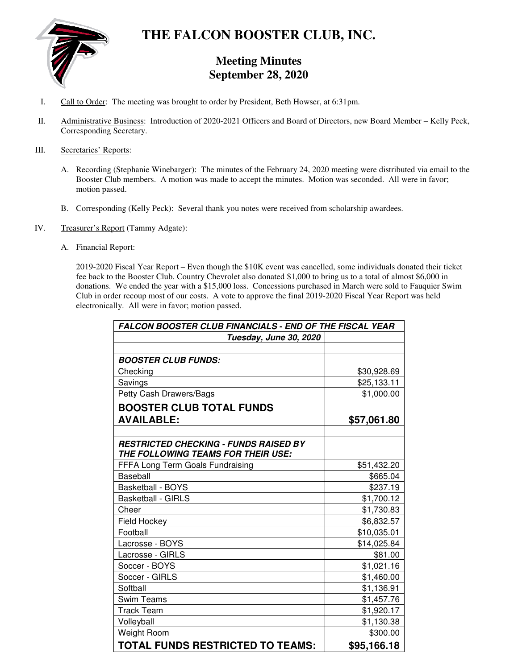

# **THE FALCON BOOSTER CLUB, INC.**

# **Meeting Minutes September 28, 2020**

- I. Call to Order: The meeting was brought to order by President, Beth Howser, at 6:31pm.
- II. Administrative Business: Introduction of 2020-2021 Officers and Board of Directors, new Board Member Kelly Peck, Corresponding Secretary.

# III. Secretaries' Reports:

- A. Recording (Stephanie Winebarger): The minutes of the February 24, 2020 meeting were distributed via email to the Booster Club members. A motion was made to accept the minutes. Motion was seconded. All were in favor; motion passed.
- B. Corresponding (Kelly Peck): Several thank you notes were received from scholarship awardees.
- IV. Treasurer's Report (Tammy Adgate):
	- A. Financial Report:

2019-2020 Fiscal Year Report – Even though the \$10K event was cancelled, some individuals donated their ticket fee back to the Booster Club. Country Chevrolet also donated \$1,000 to bring us to a total of almost \$6,000 in donations. We ended the year with a \$15,000 loss. Concessions purchased in March were sold to Fauquier Swim Club in order recoup most of our costs. A vote to approve the final 2019-2020 Fiscal Year Report was held electronically. All were in favor; motion passed.

| <b>FALCON BOOSTER CLUB FINANCIALS - END OF THE FISCAL YEAR</b> |             |  |
|----------------------------------------------------------------|-------------|--|
| Tuesday, June 30, 2020                                         |             |  |
|                                                                |             |  |
| <b>BOOSTER CLUB FUNDS:</b>                                     |             |  |
| Checking                                                       | \$30,928.69 |  |
| Savings                                                        | \$25,133.11 |  |
| Petty Cash Drawers/Bags                                        | \$1,000.00  |  |
| <b>BOOSTER CLUB TOTAL FUNDS</b>                                |             |  |
| <b>AVAILABLE:</b>                                              | \$57,061.80 |  |
|                                                                |             |  |
| <b>RESTRICTED CHECKING - FUNDS RAISED BY</b>                   |             |  |
| THE FOLLOWING TEAMS FOR THEIR USE:                             |             |  |
| FFFA Long Term Goals Fundraising                               | \$51,432.20 |  |
| Baseball                                                       | \$665.04    |  |
| <b>Basketball - BOYS</b>                                       | \$237.19    |  |
| <b>Basketball - GIRLS</b>                                      | \$1,700.12  |  |
| Cheer                                                          | \$1,730.83  |  |
| <b>Field Hockey</b>                                            | \$6,832.57  |  |
| Football                                                       | \$10,035.01 |  |
| Lacrosse - BOYS                                                | \$14,025.84 |  |
| Lacrosse - GIRLS                                               | \$81.00     |  |
| Soccer - BOYS                                                  | \$1,021.16  |  |
| Soccer - GIRLS                                                 | \$1,460.00  |  |
| Softball                                                       | \$1,136.91  |  |
| <b>Swim Teams</b>                                              | \$1,457.76  |  |
| <b>Track Team</b>                                              | \$1,920.17  |  |
| Volleyball                                                     | \$1,130.38  |  |
| Weight Room                                                    | \$300.00    |  |
| TOTAL FUNDS RESTRICTED TO TEAMS:                               | \$95,166.18 |  |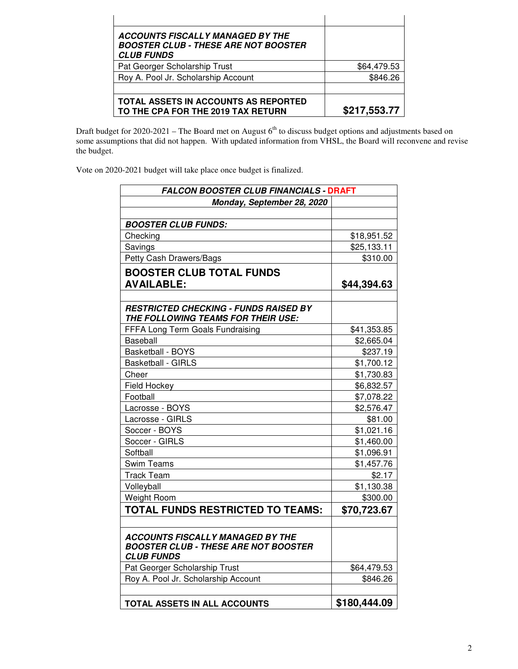| <b>ACCOUNTS FISCALLY MANAGED BY THE</b><br><b>BOOSTER CLUB - THESE ARE NOT BOOSTER</b><br><b>CLUB FUNDS</b> |              |
|-------------------------------------------------------------------------------------------------------------|--------------|
| Pat Georger Scholarship Trust                                                                               | \$64,479.53  |
| Roy A. Pool Jr. Scholarship Account                                                                         | \$846.26     |
|                                                                                                             |              |
| TOTAL ASSETS IN ACCOUNTS AS REPORTED<br>TO THE CPA FOR THE 2019 TAX RETURN                                  | \$217,553.77 |

Draft budget for 2020-2021 – The Board met on August  $6<sup>th</sup>$  to discuss budget options and adjustments based on some assumptions that did not happen. With updated information from VHSL, the Board will reconvene and revise the budget.

Vote on 2020-2021 budget will take place once budget is finalized.

| <b>FALCON BOOSTER CLUB FINANCIALS - DRAFT</b>                                                               |              |  |
|-------------------------------------------------------------------------------------------------------------|--------------|--|
| Monday, September 28, 2020                                                                                  |              |  |
|                                                                                                             |              |  |
| <b>BOOSTER CLUB FUNDS:</b>                                                                                  |              |  |
| Checking                                                                                                    | \$18,951.52  |  |
| Savings                                                                                                     | \$25,133.11  |  |
| Petty Cash Drawers/Bags                                                                                     | \$310.00     |  |
| <b>BOOSTER CLUB TOTAL FUNDS</b>                                                                             |              |  |
| <b>AVAILABLE:</b>                                                                                           | \$44,394.63  |  |
|                                                                                                             |              |  |
| <b>RESTRICTED CHECKING - FUNDS RAISED BY</b><br>THE FOLLOWING TEAMS FOR THEIR USE:                          |              |  |
| FFFA Long Term Goals Fundraising                                                                            | \$41,353.85  |  |
| Baseball                                                                                                    | \$2,665.04   |  |
| <b>Basketball - BOYS</b>                                                                                    | \$237.19     |  |
| <b>Basketball - GIRLS</b>                                                                                   | \$1,700.12   |  |
| Cheer                                                                                                       | \$1,730.83   |  |
| <b>Field Hockey</b>                                                                                         | \$6,832.57   |  |
| Football                                                                                                    | \$7,078.22   |  |
| Lacrosse - BOYS                                                                                             | \$2,576.47   |  |
| Lacrosse - GIRLS                                                                                            | \$81.00      |  |
| Soccer - BOYS                                                                                               | \$1,021.16   |  |
| Soccer - GIRLS                                                                                              | \$1,460.00   |  |
| Softball                                                                                                    | \$1,096.91   |  |
| <b>Swim Teams</b>                                                                                           | \$1,457.76   |  |
| <b>Track Team</b>                                                                                           | \$2.17       |  |
| Volleyball                                                                                                  | \$1,130.38   |  |
| Weight Room                                                                                                 | \$300.00     |  |
| TOTAL FUNDS RESTRICTED TO TEAMS:                                                                            | \$70,723.67  |  |
| <b>ACCOUNTS FISCALLY MANAGED BY THE</b><br><b>BOOSTER CLUB - THESE ARE NOT BOOSTER</b><br><b>CLUB FUNDS</b> |              |  |
| Pat Georger Scholarship Trust                                                                               | \$64,479.53  |  |
| Roy A. Pool Jr. Scholarship Account                                                                         | \$846.26     |  |
| TOTAL ASSETS IN ALL ACCOUNTS                                                                                | \$180,444.09 |  |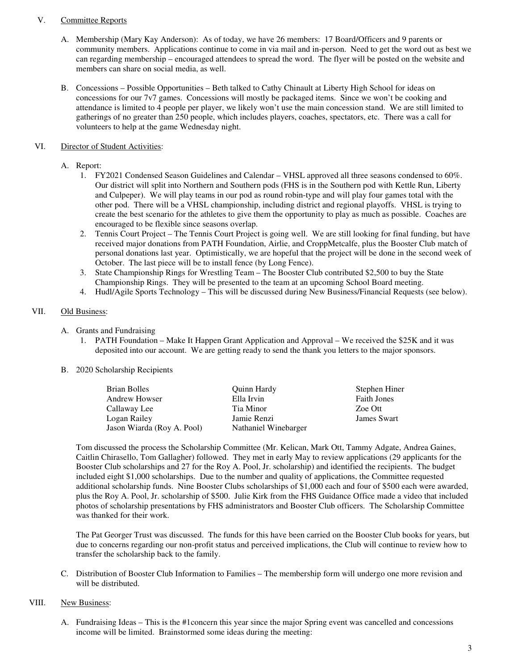#### V. Committee Reports

- A. Membership (Mary Kay Anderson): As of today, we have 26 members: 17 Board/Officers and 9 parents or community members. Applications continue to come in via mail and in-person. Need to get the word out as best we can regarding membership – encouraged attendees to spread the word. The flyer will be posted on the website and members can share on social media, as well.
- B. Concessions Possible Opportunities Beth talked to Cathy Chinault at Liberty High School for ideas on concessions for our 7v7 games. Concessions will mostly be packaged items. Since we won't be cooking and attendance is limited to 4 people per player, we likely won't use the main concession stand. We are still limited to gatherings of no greater than 250 people, which includes players, coaches, spectators, etc. There was a call for volunteers to help at the game Wednesday night.

# VI. Director of Student Activities:

- A. Report:
	- 1. FY2021 Condensed Season Guidelines and Calendar VHSL approved all three seasons condensed to 60%. Our district will split into Northern and Southern pods (FHS is in the Southern pod with Kettle Run, Liberty and Culpeper). We will play teams in our pod as round robin-type and will play four games total with the other pod. There will be a VHSL championship, including district and regional playoffs. VHSL is trying to create the best scenario for the athletes to give them the opportunity to play as much as possible. Coaches are encouraged to be flexible since seasons overlap.
	- 2. Tennis Court Project The Tennis Court Project is going well. We are still looking for final funding, but have received major donations from PATH Foundation, Airlie, and CroppMetcalfe, plus the Booster Club match of personal donations last year. Optimistically, we are hopeful that the project will be done in the second week of October. The last piece will be to install fence (by Long Fence).
	- 3. State Championship Rings for Wrestling Team The Booster Club contributed \$2,500 to buy the State Championship Rings. They will be presented to the team at an upcoming School Board meeting.
	- 4. Hudl/Agile Sports Technology This will be discussed during New Business/Financial Requests (see below).

# VII. Old Business:

- A. Grants and Fundraising
	- 1. PATH Foundation Make It Happen Grant Application and Approval We received the \$25K and it was deposited into our account. We are getting ready to send the thank you letters to the major sponsors.
- B. 2020 Scholarship Recipients

| Brian Bolles               | Quinn Hardy          | Stephen Hiner      |
|----------------------------|----------------------|--------------------|
| <b>Andrew Howser</b>       | Ella Irvin           | <b>Faith Jones</b> |
| Callaway Lee               | Tia Minor            | Zoe Ott            |
| Logan Railey               | Jamie Renzi          | James Swart        |
| Jason Wiarda (Roy A. Pool) | Nathaniel Winebarger |                    |

Tom discussed the process the Scholarship Committee (Mr. Kelican, Mark Ott, Tammy Adgate, Andrea Gaines, Caitlin Chirasello, Tom Gallagher) followed. They met in early May to review applications (29 applicants for the Booster Club scholarships and 27 for the Roy A. Pool, Jr. scholarship) and identified the recipients. The budget included eight \$1,000 scholarships. Due to the number and quality of applications, the Committee requested additional scholarship funds. Nine Booster Clubs scholarships of \$1,000 each and four of \$500 each were awarded, plus the Roy A. Pool, Jr. scholarship of \$500. Julie Kirk from the FHS Guidance Office made a video that included photos of scholarship presentations by FHS administrators and Booster Club officers. The Scholarship Committee was thanked for their work.

The Pat Georger Trust was discussed. The funds for this have been carried on the Booster Club books for years, but due to concerns regarding our non-profit status and perceived implications, the Club will continue to review how to transfer the scholarship back to the family.

C. Distribution of Booster Club Information to Families – The membership form will undergo one more revision and will be distributed.

#### VIII. New Business:

A. Fundraising Ideas – This is the #1concern this year since the major Spring event was cancelled and concessions income will be limited. Brainstormed some ideas during the meeting: